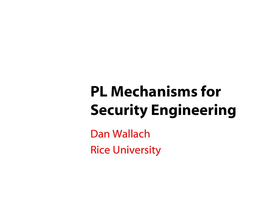## PL Mechanisms for Security Engineering

Dan WallachRice University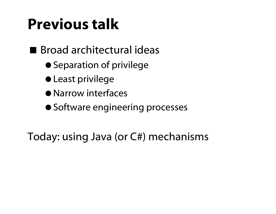#### Previous talk

#### Broad architectural ideas

- Separation of privilege
- Least privilege
- **Narrow interfaces**
- Software engineering processes

Today: using Java (or C#) mechanisms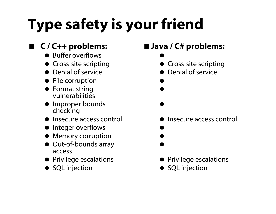# Type safety is your friend

#### C / C++ problems:

- Buffer overflows
- Cross-site scripting
- Denial of service
- File corruption
- **•** Format string vulnerabilities
- Improper bounds checking
- Insecure access control
- Integer overflows
- Memory corruption
- Out-of-bounds array access
- **•** Privilege escalations
- SQL injection

#### ■ Java / C# problems:

 $\bullet$ **• Cross-site scripting** 

 $\bullet$ 

 $\bullet$ 

 $\bullet$ 

 $\bullet$ 

Denial of service

- Insecure access control
	- $\bullet$  $\bullet$
- **Privilege escalations**
- SQL injection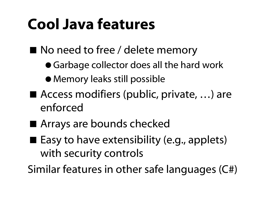#### Cool Java features

- No need to free / delete memory
	- Garbage collector does all the hard work
	- Memory leaks still possible
- Access modifiers (public, private, ...) are enforced
- Arrays are bounds checked
- Easy to have extensibility (e.g., applets) with security controls

Similar features in other safe languages (C#)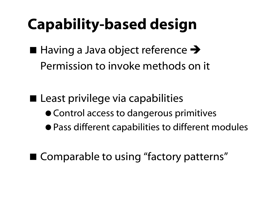### Capability-based design

 $\blacksquare$  Having a Java object reference  $\blacktriangleright$ Permission to invoke methods on it

■ Least privilege via capabilities Control access to dangerous primitives Pass different capabilities to different modules

■ Comparable to using "factory patterns"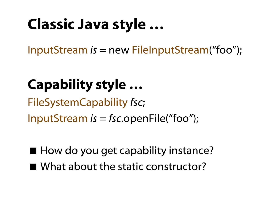#### Classic Java style …

InputStream *is* = new FileInputStream("foo");

#### Capability style …

FileSystemCapability *fsc* ;

InputStream *is* <sup>=</sup>*fsc*.openFile("foo");

■ How do you get capability instance?

■ What about the static constructor?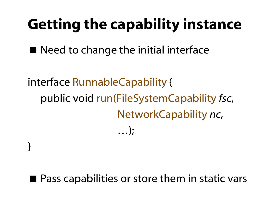#### Getting the capability instance

■ Need to change the initial interface

interface RunnableCapability { public void run(FileSystemCapability *fsc* , NetworkCapability *nc* , …);

}

#### ■ Pass capabilities or store them in static vars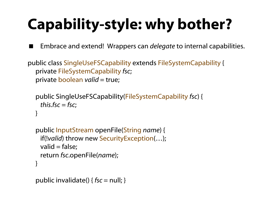## Capability-style: why bother?

Embrace and extend! Wrappers can *delegate* to internal capabilities.

public class SingleUseFSCapability extends FileSystemCapability { private FileSystemCapability *fsc*; private **boolean** *valid* = true;

```
public SingleUseFSCapability(FileSystemCapability fsc) { 
  this.fsc =fsc; 
}
```

```
public InputStream openFile(String name) {
 if(!valid) throw new SecurityException(…);
 valid = false;
 return fsc.openFile(name);
}
```

```
public invalidate() { fsc = null; }
```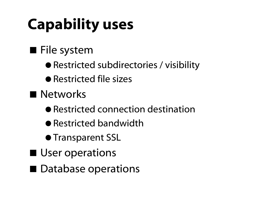## Capability uses

#### **File system**

- Restricted subdirectories / visibility
- Restricted file sizes
- **Networks** 
	- Restricted connection destination
	- Restricted bandwidth
	- **Transparent SSL**
- User operations
- Database operations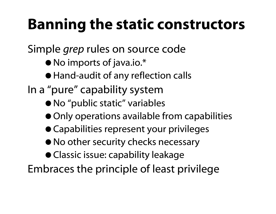#### Banning the static constructors

Simple *grep* rules on source code

- No imports of java.io.\*
- Hand-audit of any reflection calls
- In a "pure" capability system
	- No "public static" variables
	- Only operations available from capabilities
	- Capabilities represent your privileges
	- $\bullet$  No other security checks necessary
	- Classic issue: capability leakage

Embraces the principle of least privilege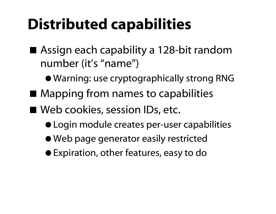#### Distributed capabilities

- Assign each capability a 128-bit random number (it's "name")
	- Warning: use cryptographically strong RNG
- Mapping from names to capabilities
- Web cookies, session IDs, etc.
	- Login module creates per-user capabilities
	- Web page generator easily restricted
	- Expiration, other features, easy to do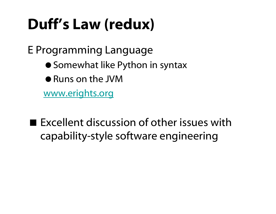#### Duff's Law (redux)

E Programming Language

- Somewhat like Python in syntax
- Runs on the JVM

www.erights.org

 $\blacksquare$  Excellent discussion of other issues with capability-style software engineering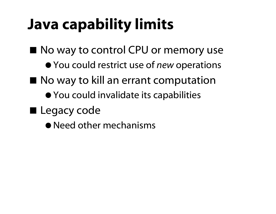### Java capability limits

■ No way to control CPU or memory use

- You could restrict use of *new* operations
- No way to kill an errant computation
	- You could invalidate its capabilities
- **Legacy code** 
	- Need other mechanisms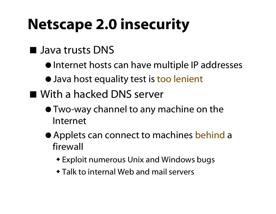### Netscape 2.0 insecurity

#### **Java trusts DNS**

- Internet hosts can have multiple IP addresses
- Java host equality test is too lenient
- With a hacked DNS server
	- Two-way channel to any machine on the Internet
	- Applets can connect to machines behind a firewall
		- Exploit numerous Unix and Windows bugs
		- Talk to internal Web and mail servers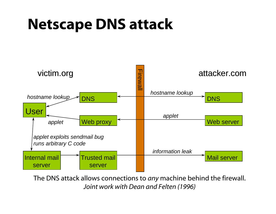#### Netscape DNS attack



The DNS attack allows connections to *any* machine behind the firewall. *Joint work with Dean and Felten (1996)*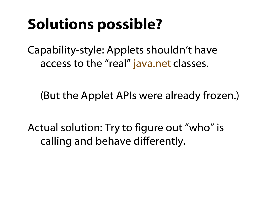#### Solutions possible?

Capability-style: Applets shouldn't have access to the "real" java.net classes.

(But the Applet APIs were already frozen.)

Actual solution: Try to figure out "who" is calling and behave differently.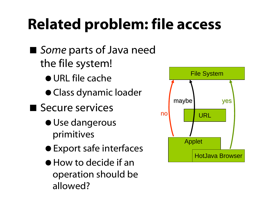#### Related problem: file access

- *Some* parts of Java need the file system!
	- URL file cache
	- Class dynamic loader
- Secure services
	- Use dangerous primitives
	- Export safe interfaces
	- How to decide if an operation should be allowed?

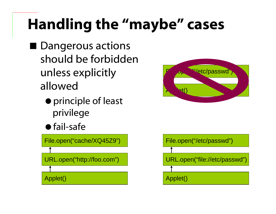## Handling the "maybe" cases

- Dangerous actions should be forbidden unless explicitly allowed
	- principle of least privilege
	- fail-safe

File.open("cache/XQ45Z9")

URL.open("http://foo.com")

Applet()



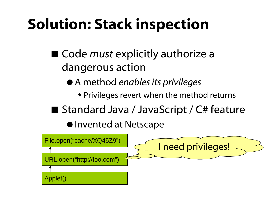#### Solution: Stack inspection

- Code *must* explicitly authorize a dangerous action
	- A method *enables its privileges*
		- Privileges revert when the method returns
- Standard Java / JavaScript / C# feature

 $\bullet$  Invented at Netscape

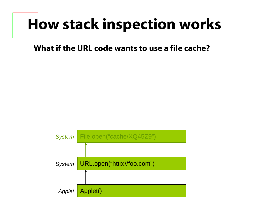What if the URL code wants to use a file cache?

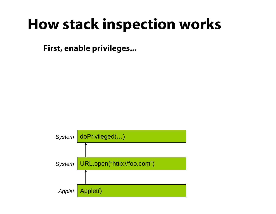First, enable privileges...

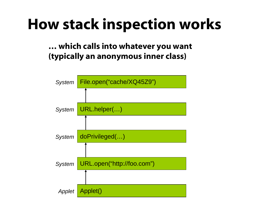#### … which calls into whatever you want (typically an anonymous inner class)

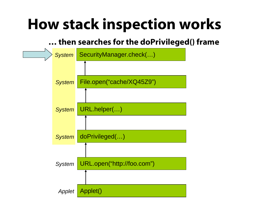#### … then searches for the doPrivileged() frame

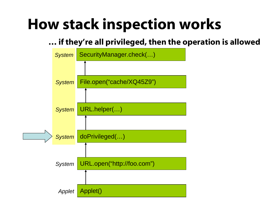#### … if they're all privileged, then the operation is allowed

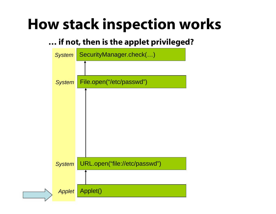#### … if not, then is the applet privileged?

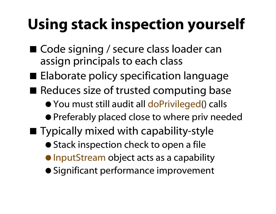## Using stack inspection yourself

- Code signing / secure class loader can assign principals to each class
- **Elaborate policy specification language**
- Reduces size of trusted computing base
	- You must still audit all doPrivileged() calls
	- Preferably placed close to where priv needed
- **Typically mixed with capability-style** 
	- Stack inspection check to open a file
	- **InputStream object acts as a capability**
	- Significant performance improvement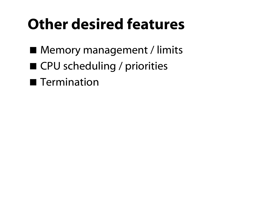#### Other desired features

- Memory management / limits
- CPU scheduling / priorities
- **Termination**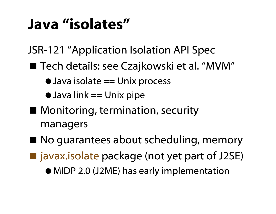#### Java "isolates"

JSR-121 "Application Isolation API Spec

- Tech details: see Czajkowski et al. "MVM"
	- Java isolate == Unix process
	- $\bullet$  Java link == Unix pipe
- Monitoring, termination, security managers
- No guarantees about scheduling, memory ■ javax.isolate package (not yet part of J2SE) MIDP 2.0 (J2ME) has early implementation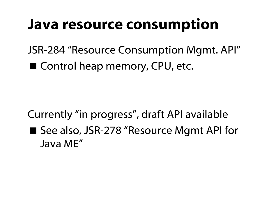#### Java resource consumption

JSR-284 "Resource Consumption Mgmt. API" ■ Control heap memory, CPU, etc.

Currently "in progress", draft API available ■ See also, JSR-278 "Resource Mgmt API for Java ME"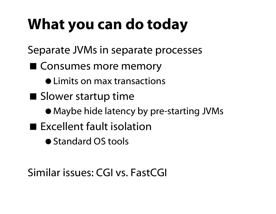#### What you can do today

Separate JVMs in separate processes

- Consumes more memory
	- Limits on max transactions
- Slower startup time
	- Maybe hide latency by pre-starting JVMs
- **Excellent fault isolation** 
	- Standard OS tools

#### Similar issues: CGI vs. FastCGI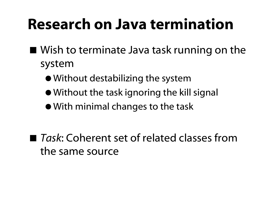#### Research on Java termination

- Wish to terminate Java task running on the system
	- Without destabilizing the system
	- Without the task ignoring the kill signal
	- With minimal changes to the task

■ Task: Coherent set of related classes from the same source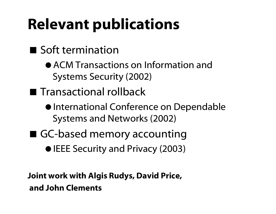#### Relevant publications

#### Soft termination

- ACM Transactions on Information and Systems Security (2002)
- **The Transactional rollback** 
	- $\bullet$  International Conference on Dependable Systems and Networks (2002)
- GC-based memory accounting
	- IEEE Security and Privacy (2003)

Joint work with Algis Rudys, David Price, and John Clements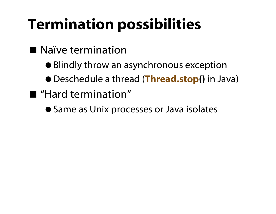#### Termination possibilities

- Naïve termination
	- Blindly throw an asynchronous exception
	- Deschedule a thread (Thread.stop() in Java)
- "Hard termination"
	- Same as Unix processes or Java isolates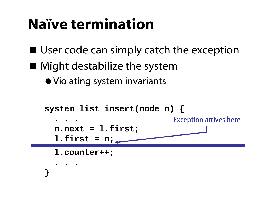#### Naïve termination

- User code can simply catch the exception
- Might destabilize the system
	- Violating system invariants

```
system_list_insert(node n) {
  . . .n.next = l.first;
  l.first = n;
  l.counter++;
  . . .}
                             Exception arrives here
```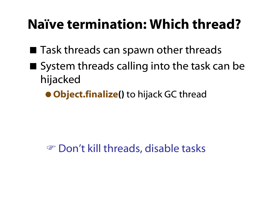#### Naïve termination: Which thread?

- Task threads can spawn other threads
- $\blacksquare$  System threads calling into the task can be hijacked
	- **Object.finalize()** to hijack GC thread

#### **EXECUTE:** Don't kill threads, disable tasks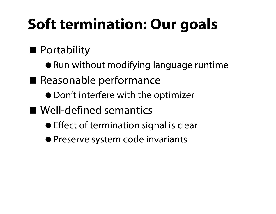#### Soft termination: Our goals

#### **Portability**

- Run without modifying language runtime
- Reasonable performance
	- Don't interfere with the optimizer
- Well-defined semantics
	- **Effect of termination signal is clear**
	- **Preserve system code invariants**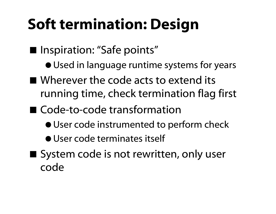### Soft termination: Design

- Inspiration: "Safe points"
	- $\bullet$  Used in language runtime systems for years
- Wherever the code acts to extend its running time, check termination flag first
- Code-to-code transformation
	- User code instrumented to perform check
	- User code terminates itself
- System code is not rewritten, only user code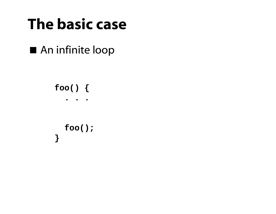#### The basic case

An infinite loop

**foo() { . . .foo(); }**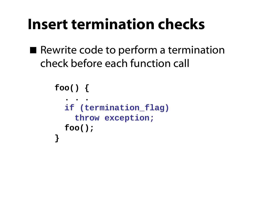#### Insert termination checks

Rewrite code to perform a termination check before each function call

```
foo() {
  . . .if (termination_flag)
    throw exception;
  foo();
}
```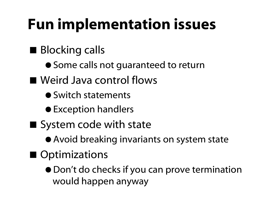### Fun implementation issues

- **Blocking calls** 
	- Some calls not guaranteed to return
- Weird Java control flows
	- Switch statements
	- Exception handlers
- System code with state
	- Avoid breaking invariants on system state
- Optimizations
	- Don't do checks if you can prove termination would happen anyway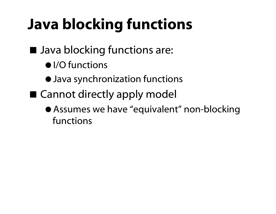## Java blocking functions

#### ■ Java blocking functions are:

- $\bullet$  I/O functions
- Java synchronization functions
- Cannot directly apply model
	- Assumes we have "equivalent" non-blocking functions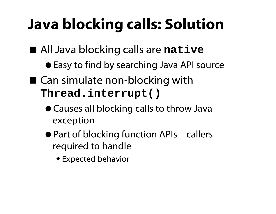### Java blocking calls: Solution

- All Java blocking calls are **native** 
	- Easy to find by searching Java API source
- Can simulate non-blocking with **Thread.interrupt()**
	- Causes all blocking calls to throw Java exception
	- Part of blocking function APIs callers required to handle
		- Expected behavior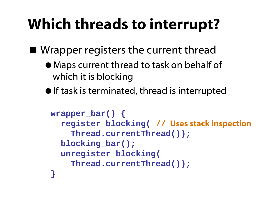#### Which threads to interrupt?

■ Wrapper registers the current thread

- Maps current thread to task on behalf of which it is blocking
- $\bullet$  If task is terminated, thread is interrupted

```
wrapper_bar() {
  register_blocking( // Uses stack inspection
    Thread.currentThread());
  blocking_bar();
  unregister_blocking(
    Thread.currentThread());
}
```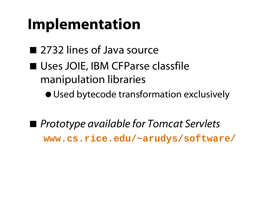#### Implementation

- 2732 lines of Java source
- Uses JOIE, IBM CFParse classfile manipulation libraries
	- Used bytecode transformation exclusively
- *Prototype available for Tomcat Servlets* **www.cs.rice.edu/~arudys/software/**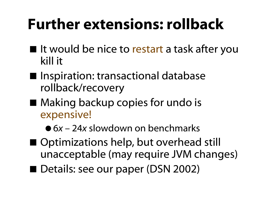#### Further extensions: rollback

- It would be nice to restart a task after you kill it
- Inspiration: transactional database rollback/recovery
- Making backup copies for undo is expensive!
	- 6*x* 24*<sup>x</sup>* slowdown on benchmarks
- Optimizations help, but overhead still unacceptable (may require JVM changes)
- Details: see our paper (DSN 2002)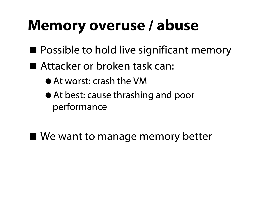#### Memory overuse / abuse

- Possible to hold live significant memory
- Attacker or broken task can:
	- At worst: crash the VM
	- At best: cause thrashing and poor performance
- We want to manage memory better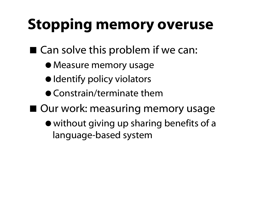#### Stopping memory overuse

- Can solve this problem if we can:
	- Measure memory usage
	- Identify policy violators
	- Constrain/terminate them
- Our work: measuring memory usage
	- without giving up sharing benefits of a language-based system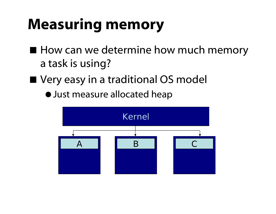#### Measuring memory

- How can we determine how much memory a task is using?
- Very easy in a traditional OS model
	- Just measure allocated heap

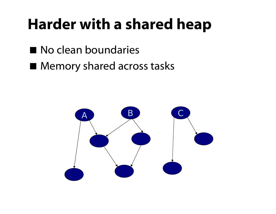#### Harder with a shared heap

- No clean boundaries
- **Memory shared across tasks**

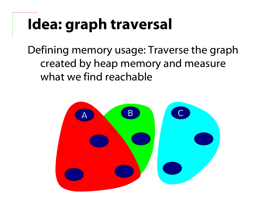## Idea: graph traversal

Defining memory usage: Traverse the graph created by heap memory and measure what we find reachable

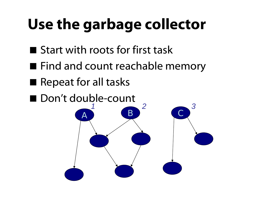### Use the garbage collector

- Start with roots for first task
- Find and count reachable memory
- Repeat for all tasks
- Don't double-count  $\bm{\mathsf{A}}$ BC*1 23*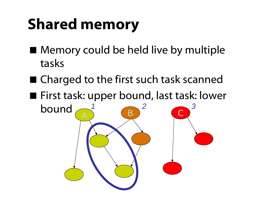### Shared memory

- Memory could be held live by multiple tasks
- Charged to the first such task scanned
- First task: upper bound, last task: lower

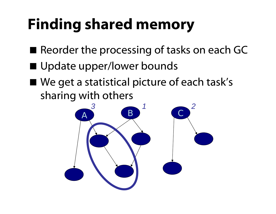## Finding shared memory

- Reorder the processing of tasks on each GC
- Update upper/lower bounds
- We get a statistical picture of each task's sharing with others

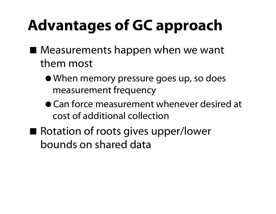## Advantages of GC approach

- Measurements happen when we want them most
	- When memory pressure goes up, so does measurement frequency
	- Can force measurement whenever desired at cost of additional collection
- Rotation of roots gives upper/lower bounds on shared data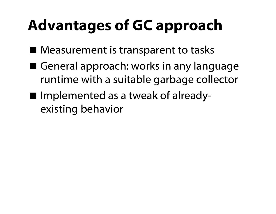## Advantages of GC approach

- Measurement is transparent to tasks
- General approach: works in any language runtime with a suitable garbage collector
- Implemented as a tweak of alreadyexisting behavior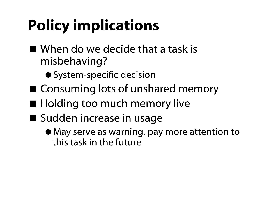## Policy implications

- When do we decide that a task is misbehaving?
	- **System-specific decision**
- Consuming lots of unshared memory
- **Holding too much memory live**
- Sudden increase in usage
	- May serve as warning, pay more attention to this task in the future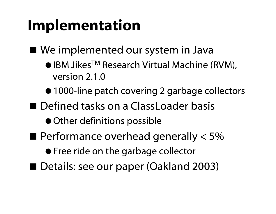#### Implementation

■ We implemented our system in Java

- IBM Jikes<sup>TM</sup> Research Virtual Machine (RVM), version 2.1.0
- 1000-line patch covering 2 garbage collectors
- Defined tasks on a ClassLoader basis
	- Other definitions possible
- $\blacksquare$  Performance overhead generally  $<$  5%
	- **Free ride on the garbage collector**
- Details: see our paper (Oakland 2003)